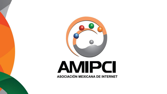

## **AMIPCI** ASOCIACIÓN MEXICANA DE INTERNET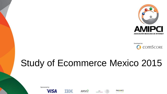



## Study of Ecommerce Mexico 2015









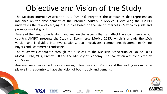## Objective and Vision of the Study

The Mexican Internet Association, A.C. (AMIPCI) integrates the companies that represent an influence on the development of the Internet industry in Mexico. Every year, the AMIPCI undertakes the task of carrying out studies based on the use of Internet in Mexico to guide and promote market growth.

Aware of the need to understand and analyze the aspects that can affect the e-commerce in our country, AMIPCI presents the Study of Ecommerce Mexico 2015, which is already the 10th version and is divided into two sections, that investigates components Ecommerce: Online Buyers and Ecommerce Landscape.

The study was conducted through the auspices of the Mexican Association of Online Sales (AMVO), IBM, VISA, Prosoft 3.0 and the Ministry of Economy. The realization was conducted by comScore.

Analyses were performed by interviewing online buyers in Mexico and the leading e-commerce players in the country to have the vision of both supply and demand.













**COMSCOR**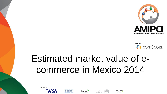



## Estimated market value of ecommerce in Mexico 2014









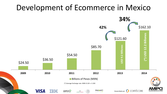### Development of Ecommerce in Mexico

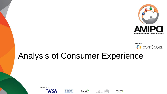



### Analysis of Consumer Experience











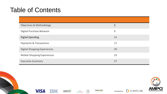### Table of Contents

| Objectives & Methodology            | 8  |
|-------------------------------------|----|
| Digital Purchase Behavior           | 9  |
| <b>Digital Spending</b>             | 14 |
| Payments & Transactions             | 17 |
| <b>Digital Shopping Experiences</b> | 20 |
| Mobile Shopping Experiences         | 23 |
| <b>Executive Summary</b>            | 27 |













Developed by:

C COMSCORE.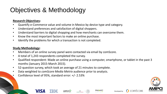### Objectives & Methodology

### **Research Objectives:**

- Quantify e-Commerce value and volume in Mexico by device type and category.
- Understand preferences and satisfaction of digital shoppers.
- Understand barriers to digital shopping and how merchants can overcome them.
- Know the most important factors to make an online purchase.
- Identify the problems for which a transaction is not completed.

#### **Study Methodology:**

- Members of an online survey panel were contacted via email by comScore.
- A total of 1,243 respondents completed the survey.
- Qualified respondent: Made an online purchase using a computer, smartphone, or tablet in the past 3 months (January 2015-March 2015).
- 52-question survey, which took an average of 21 minutes to complete.

AMVO

- Data weighted to *comScore Media Metrix* audience prior to analysis.
- Confidence level of 95%, standard error: +/- 2.53%



Developed by:

comSo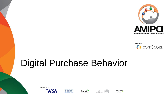

Developed by: C COMSCORE.

## Digital Purchase Behavior











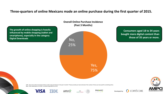### **Three-quarters of online Mexicans made an online purchase during the first quarter of 2015.**

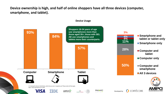**Device ownership is high, and half of online shoppers have all three devices (computer, smartphone, and tablet).**



#### **Device Usage**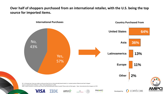**Over half of shoppers purchased from an international retailer, with the U.S. being the top source for imported items.**

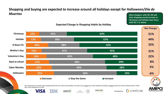### **Shopping and buying are expected to increase around all holidays except for Halloween/***Día de Muertos*

**More shoppers with SEL AB said their shopping would increase at Christmas and HotSale than those with SEL C or below.**



**Expected Change in Shopping Habits by Holiday**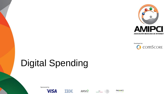

Developed by: C COMSCORE

## Digital Spending











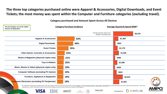**The three top categories purchased online were Apparel & Accessories, Digital Downloads, and Event Tickets; the most money was spent within the Computer and Furniture categories (excluding travel).**

| The percentages can not be added<br>because of duplication |                                                        | <b>Category Purchase Incidence</b> |     |     | Average Quarterly Spend MXN*                                  |  |                                                                                                                                                                                                                                           |
|------------------------------------------------------------|--------------------------------------------------------|------------------------------------|-----|-----|---------------------------------------------------------------|--|-------------------------------------------------------------------------------------------------------------------------------------------------------------------------------------------------------------------------------------------|
|                                                            |                                                        |                                    |     |     | Average quarterly spend across<br>categories excluding travel |  | \$5,575                                                                                                                                                                                                                                   |
|                                                            | <b>Apparel &amp; Accessories</b>                       |                                    |     | 53% |                                                               |  | \$1,383                                                                                                                                                                                                                                   |
|                                                            | <b>Digital Downloads</b>                               |                                    |     | 49% |                                                               |  | \$581                                                                                                                                                                                                                                     |
|                                                            | <b>Event Tickets</b>                                   |                                    | 35% |     |                                                               |  | \$1,179                                                                                                                                                                                                                                   |
|                                                            | Video Games, Consoles & Accessories                    |                                    | 23% |     |                                                               |  | \$1,555                                                                                                                                                                                                                                   |
|                                                            | Books & Magazines (physical copies only)               |                                    | 21% |     |                                                               |  | \$480                                                                                                                                                                                                                                     |
|                                                            | Toys & Hobbies                                         |                                    | 20% |     |                                                               |  | \$1,086                                                                                                                                                                                                                                   |
|                                                            | Music, Movies & Videos (physical copies only)          |                                    | 19% |     |                                                               |  | \$448                                                                                                                                                                                                                                     |
|                                                            | <b>Computer Software (excluding PC Games)</b>          |                                    | 19% |     |                                                               |  | \$922                                                                                                                                                                                                                                     |
|                                                            | <b>Furniture, Appliances &amp; Equipment</b>           |                                    | 19% |     |                                                               |  | \$2,643                                                                                                                                                                                                                                   |
|                                                            | <b>Consumer Electronics (excluding PC Peripherals)</b> |                                    | 18% |     |                                                               |  | \$1,652<br>Q3. Please take a close look at the table below. Under each category, enter the amount of money in pesos you spent online in the first 3 months of the year, January 2015 - March 2015, from each type of device you have used |

**Category purchased and Amount Spent Across All Devices**



**COMSCORE** 

respondents (n=1,243); \*Actual base size for the mean of each category varies and is determined by the incidence of that category.







Developed by: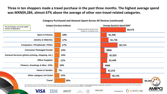**Three in ten shoppers made a travel purchase in the past three months. The highest average spend was MXN\$9,284, almost 67% above the average of other non-travel-related categories.**

| The percentages can not be added                                                                                                                                                                                                                                                                                                                                                 |                                |     | <b>Category Purchase Incidence</b>                            | Average Quarterly Spend MXN* |                              |  |  |
|----------------------------------------------------------------------------------------------------------------------------------------------------------------------------------------------------------------------------------------------------------------------------------------------------------------------------------------------------------------------------------|--------------------------------|-----|---------------------------------------------------------------|------------------------------|------------------------------|--|--|
| because of duplication                                                                                                                                                                                                                                                                                                                                                           |                                |     | Average quarterly spend across<br>categories excluding travel |                              | \$5,575                      |  |  |
|                                                                                                                                                                                                                                                                                                                                                                                  | <b>Sport &amp; Fitness</b>     |     | 18%                                                           |                              | \$1,340                      |  |  |
| Jewelry & Watches                                                                                                                                                                                                                                                                                                                                                                |                                |     | 17%                                                           |                              | \$1,735                      |  |  |
| <b>Computers / Peripherals / PDAs</b>                                                                                                                                                                                                                                                                                                                                            |                                |     | 17%                                                           |                              | \$3,714                      |  |  |
|                                                                                                                                                                                                                                                                                                                                                                                  | <b>Consumer Packaged Goods</b> |     | 14%                                                           |                              | \$858                        |  |  |
| General Services (photo printing, shipping, etc.)                                                                                                                                                                                                                                                                                                                                |                                |     | 14%                                                           |                              | \$1,523                      |  |  |
| <b>Office Supplies</b>                                                                                                                                                                                                                                                                                                                                                           |                                |     | 11%                                                           |                              | \$1,449                      |  |  |
| <b>Flowers, Greetings &amp; Misc. Gifts</b>                                                                                                                                                                                                                                                                                                                                      |                                | 10% |                                                               |                              | \$560                        |  |  |
|                                                                                                                                                                                                                                                                                                                                                                                  | Home & Garden                  |     | 7%                                                            |                              | \$1,210                      |  |  |
|                                                                                                                                                                                                                                                                                                                                                                                  | Other category not listed      |     | 13%                                                           |                              | \$2,143                      |  |  |
|                                                                                                                                                                                                                                                                                                                                                                                  | <b>Travel</b>                  |     | 30%                                                           |                              | \$9,284                      |  |  |
| Q3. Please take a close look at the table below. Under each category, enter the amount of money in pesos you spent online in the first 3 months of the year, January 2015 - March 2015, from each type of device you have used<br>Base: Total respondents (n=1,243); *Actual base size for the mean of each category varies and is determined by the incidence of that category. |                                |     |                                                               |                              |                              |  |  |
|                                                                                                                                                                                                                                                                                                                                                                                  |                                |     | <b>PROSOFT</b><br>AMVO<br>$S_{\text{secultability}}$          |                              | C COMSCORE.<br>Developed by: |  |  |

#### **Category Purchased and Amount Spent Across All Devices (continued)**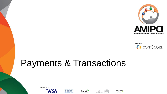

Developed by: C COMSCORE.

## Payments & Transactions









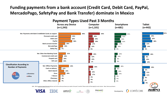### **Funding payments from a bank account (Credit Card, Debit Card, PayPal, MercadoPago, SafetyPay and Bank Transfer) dominate in Mexico**

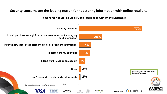### **Security concerns are the leading reason for not storing information with online retailers.**

**Reasons for Not Storing Credit/Debit Information with Online Merchants**

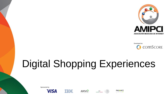



## Digital Shopping Experiences









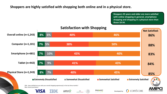### **Shoppers are highly satisfied with shopping both online and in a physical store.**

**Shoppers 35 years and older are more satisfied with online shopping in general, smartphone shopping and shopping in a physical store than those 18-34.**



### **Satisfaction with Shopping**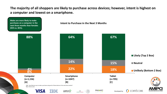**The majority of all shoppers are likely to purchase across devices; however, intent is highest on a computer and lowest on a smartphone.**

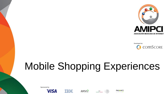



## Mobile Shopping Experiences











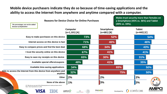### **Mobile device purchasers indicate they do so because of time-saving applications and the ability to access the Internet from anywhere and anytime compared with a computer.**

| The percentages can not be added<br>because of duplication                                                                           | <b>Reasons for Device Choice for Online Purchases</b> | (49% vs. 33%).              | a Smartphone (45% vs. 36%) and Tablet |
|--------------------------------------------------------------------------------------------------------------------------------------|-------------------------------------------------------|-----------------------------|---------------------------------------|
|                                                                                                                                      | Computer<br>$(n=1,101)$ [A]                           | Smartphone<br>$(n=681)$ [B] | <b>Tablet</b><br>$(n=442)$ [C]        |
| Easy to make purchases on this device                                                                                                | 73%                                                   | 52%                         | 54%                                   |
| Internet access on this device is fast                                                                                               | 71%                                                   | 46%                         | 46%                                   |
| Easy to compare prices and find the best deal                                                                                        | 68%                                                   | 34%                         | 43%                                   |
| I trust the security online on this device                                                                                           | 67%                                                   | 41%                         | 41%                                   |
| Easy to save my receipts on this device                                                                                              | 65%                                                   | 30%                         | 31%                                   |
| Available special offers/coupons                                                                                                     | 48%                                                   | 41%                         | 35%                                   |
| Available time-saving applications                                                                                                   | 34%                                                   | 65%                         | 50%                                   |
| Able to access the Internet from this device from anywhere and<br>anytime                                                            | 32%                                                   | 75%                         | 50%                                   |
| Other                                                                                                                                | 2%                                                    | 2%                          | 2%                                    |
| None of the above<br>Q7. Why do you use each of the following devices to make purchases online?<br>Base: Total respondents (n=1,243) | 1%<br>AMVO<br>SE                                      | 3%<br><b>PROSOFT</b>        | 3%<br>C COMSCORE.                     |

**Males trust security more than females on**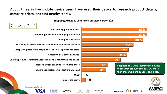### **About three in five mobile device users have used their device to research product details, compare prices, and find nearby stores.**

#### **Shopping Activities Conducted on Mobile Device(s)**

Q8a. Which of the following activities have you conducted on your mobile device? Base: Mobile device users (n=1,103) **63% 62% 59% 50% 45% 44% 37% 26% 24% 1% 4% Researching product details Comparing prices before shopping for an item Finding nearby stores Searching for product reviews/recommendations from a website Comparing prices while shopping for an item in person at a store Accessing deal of the day apps Sharing product recommendations via a social networking site or app Mobile barcode scanning to compare prices Sharing product recommendations via email Other None of the above Shoppers 18-21 use their mobile devices to research product details (71%) more than those who are 22 years and older.**



*The percentages can not be added because of duplication*











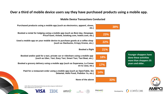### **Over a third of mobile device users say they have purchased products using a mobile app.**

**Mobile Device Transactions Conducted**

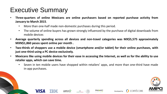### Executive Summary

- **Three-quarters of online Mexicans are online purchasers based on reported purchase activity from January to March 2015**.
	- More than one-half made non-domestic purchases during this period.

AMVO

- The volume of online buyers has grown strongly influenced by the purchase of digital downloads from mobile devices
- **Average quarterly spending across all devices and non-travel categories was MX\$5,575 approximately MXN\$1,860 pesos spent online per month .**
- **Two-thirds of shoppers use a mobile device (smartphone and/or tablet) for their online purchases, with just one-third using a PC device exclusively.**
- Mexicans like using mobile devices for their ease in accessing the Internet, as well as for the ability to use **retailer apps, which can save time.**
	- Seven in ten mobile users have shopped within retailers' apps, and more than one-third have made in-app purchases.

Developed by:

comSc

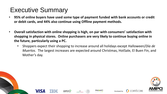### Executive Summary

- **95% of online buyers have used some type of payment funded with bank accounts or credit or debit cards, and 44% also continue using Offline payment methods.**
- **Overall satisfaction with online shopping is high, on par with consumers' satisfaction with shopping in physical stores. Online purchasers are very likely to continue buying online in the future, particularly using a PC.**
	- Shoppers expect their shopping to increase around all holidays except Halloween/*Día de Muertos*. The largest increases are expected around Christmas, HotSale, El Buen Fin, and Mother's day.















**COMSCORE**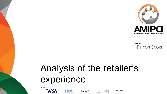

Developed by: C COMSCORE

## Analysis of the retailer's experience











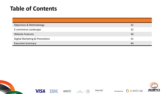### **Table of Contents**

| Objectives & Methodology       | 31 |
|--------------------------------|----|
| E-commerce Landscape           | 32 |
| <b>Website Features</b>        | 36 |
| Digital Marketing & Promotions | 41 |
| <b>Executive Summary</b>       | 44 |

















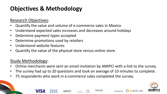### **Objectives & Methodology**

### Research Objectives:

- Quantify the value and volume of e-commerce sales in Mexico
- Understand expected sales increases and decreases around holidays
- Determine payment types accepted
- Determine promotions used by retailers
- Understand website features
- Quantify the value of the physical store versus online store.

### Study Methodology:

- Online merchants were sent an email invitation by AMIPCI with a link to the survey.
- The survey had up to 20 questions and took an average of 10 minutes to complete.
- 75 respondents who work in e-commerce sales completed the survey.

AMVO



Developed by:

**COMSCORE**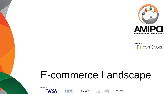

Developed by: C COMSCORE.

## E-commerce Landscape









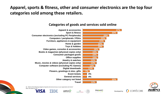### **Apparel, sports & fitness, other and consumer electronics are the top four categories sold among these retailers.**



#### **Categories of goods and services sold online**



Q1. Which of the following categories of goods and services do you or your organization sell online? Base: All retailers (n=75)











**COMSCORE**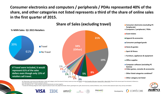**Consumer electronics and computers / peripherals / PDAs represented 40% of the share, and other categories not listed represents a third of the share of online sales in the first quarter of 2015.**



\* Includes the following categories: books, magazines (physical copies only), digital downloads, flowers, greetings & misc. gifts, General services, Jewelry & Watches, music, movies & videos (physical copies only), and toy

AMVO



Developed by

**COMSCORE**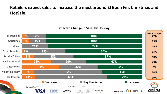### **Retailers expect sales to increase the most around El Buen Fin, Christmas and HotSale.**

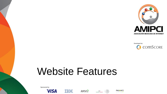

Developed by: C COMSCORE

## Website Features









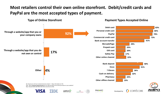### **Most retailers control their own online storefront. Debit/credit cards and PayPal are the most accepted types of payment.**

**Type of Online Storefront**



#### **Payment Types Accepted Online**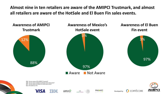**Almost nine in ten retailers are aware of the AMIPCI Trustmark, and almost all retailers are aware of the HotSale and El Buen Fin sales events.**

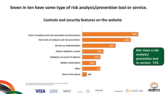### **Seven in ten have some type of risk analysis/prevention tool or service.**

### **Controls and security features on the website**

















**COMSCORE**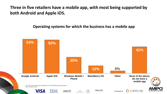**Three in five retailers have a mobile app, with most being supported by both Android and Apple iOS.** 

**Operating systems for which the business has a mobile app**

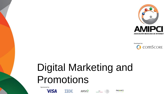

Developed by: **COMSCORE** 

## Digital Marketing and Promotions













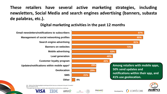**These retailers have several active marketing strategies, including newsletters, Social Media and search engines advertising (banners, subasta de palabras, etc.).**

### **Digital marketing activities in the past 12 months**

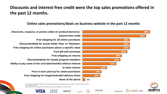### **Discounts and interest-free credit were the top sales promotions offered in the past 12 months.**

### **Online sales promotions/deals on business website in the past 12 months**



**Discounts, coupons, or promo codes on products/services Interest-free credit Free shipping for all online purchases Discounts/deals for social media 'fans' or 'followers' Free shipping for online purchases above a specific value Free gift with purchase Free shipping on returns Discounts/deals for loyalty program members Ability to pay some of the cost later/monthly without interest In-store returns Free in-store pick-up for online purchases Free shipping for longer/extended delivery times**



Q12. Have you conducted or offered any of the following online sales promotions/deals on your website or app in the past 12 months? Base: All retailers (n=75)

Note: Sample size for this question for International sales promotions/deals is too small to report.











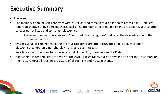### **Executive Summary**

### Online sales:

- The majority of online sales are from within Mexico, and three in four online sales are via a PC. Retailers report an average of five percent chargebacks. The top four categories sold online are apparel, sports, other categories not listed and consumer electronics.
	- The large number of incidences in "not listed other categories", indicates the diversification of the ecommerce offers.
- By sales value, excluding travel, the top four categories are other categories not listed, consumer electronics, computers / peripherals / PDAs, and event tickets.
- Retailers expect shopping to increase around El Buen Fin, Christmas and HotSale.
- Almost nine in ten retailers are aware of the AMIPCI Trust Mark, but only two in five offer the Trust Mark on their site. Almost all retailers are aware of El Buen Fin and HotSale events.













**COMSCORE** 

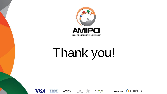

# Thank you!